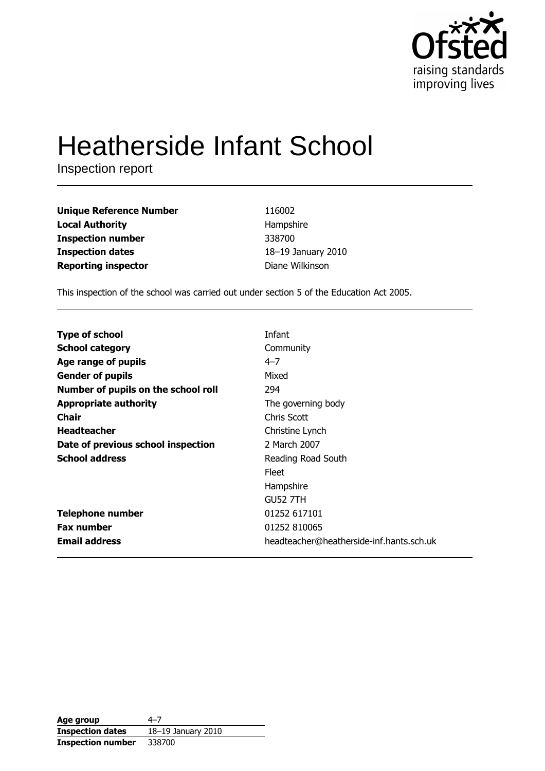

# **Heatherside Infant School**

Inspection report

| <b>Unique Reference Number</b> |  |
|--------------------------------|--|
| <b>Local Authority</b>         |  |
| <b>Inspection number</b>       |  |
| <b>Inspection dates</b>        |  |
| <b>Reporting inspector</b>     |  |

116002 Hampshire 338700 18-19 January 2010 Diane Wilkinson

This inspection of the school was carried out under section 5 of the Education Act 2005.

| <b>Type of school</b>               | Infant                                   |
|-------------------------------------|------------------------------------------|
| <b>School category</b>              | Community                                |
| Age range of pupils                 | $4 - 7$                                  |
| <b>Gender of pupils</b>             | Mixed                                    |
| Number of pupils on the school roll | 294                                      |
| <b>Appropriate authority</b>        | The governing body                       |
| <b>Chair</b>                        | Chris Scott                              |
| <b>Headteacher</b>                  | Christine Lynch                          |
| Date of previous school inspection  | 2 March 2007                             |
| <b>School address</b>               | Reading Road South                       |
|                                     | Fleet                                    |
|                                     | Hampshire                                |
|                                     | <b>GU52 7TH</b>                          |
| <b>Telephone number</b>             | 01252 617101                             |
| <b>Fax number</b>                   | 01252 810065                             |
| <b>Email address</b>                | headteacher@heatherside-inf.hants.sch.uk |

| Age group                | 4–7                |
|--------------------------|--------------------|
| <b>Inspection dates</b>  | 18-19 January 2010 |
| <b>Inspection number</b> | 338700             |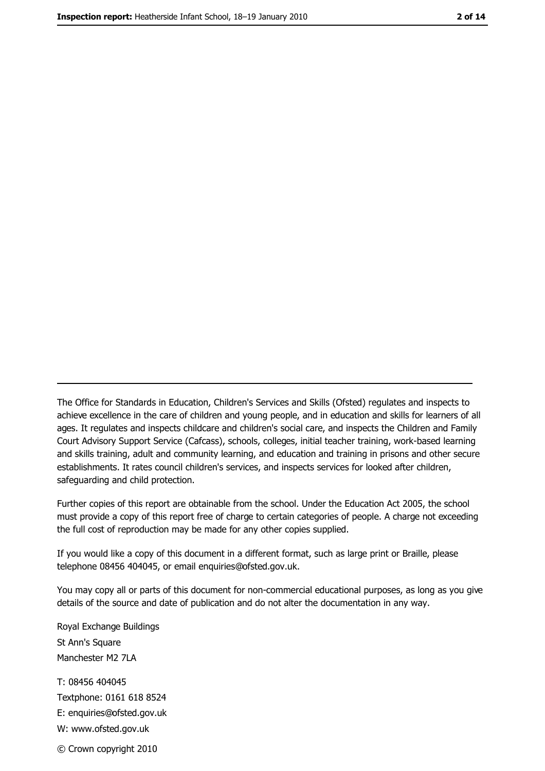The Office for Standards in Education, Children's Services and Skills (Ofsted) regulates and inspects to achieve excellence in the care of children and young people, and in education and skills for learners of all ages. It regulates and inspects childcare and children's social care, and inspects the Children and Family Court Advisory Support Service (Cafcass), schools, colleges, initial teacher training, work-based learning and skills training, adult and community learning, and education and training in prisons and other secure establishments. It rates council children's services, and inspects services for looked after children, safequarding and child protection.

Further copies of this report are obtainable from the school. Under the Education Act 2005, the school must provide a copy of this report free of charge to certain categories of people. A charge not exceeding the full cost of reproduction may be made for any other copies supplied.

If you would like a copy of this document in a different format, such as large print or Braille, please telephone 08456 404045, or email enquiries@ofsted.gov.uk.

You may copy all or parts of this document for non-commercial educational purposes, as long as you give details of the source and date of publication and do not alter the documentation in any way.

Royal Exchange Buildings St Ann's Square Manchester M2 7LA T: 08456 404045 Textphone: 0161 618 8524 E: enquiries@ofsted.gov.uk W: www.ofsted.gov.uk © Crown copyright 2010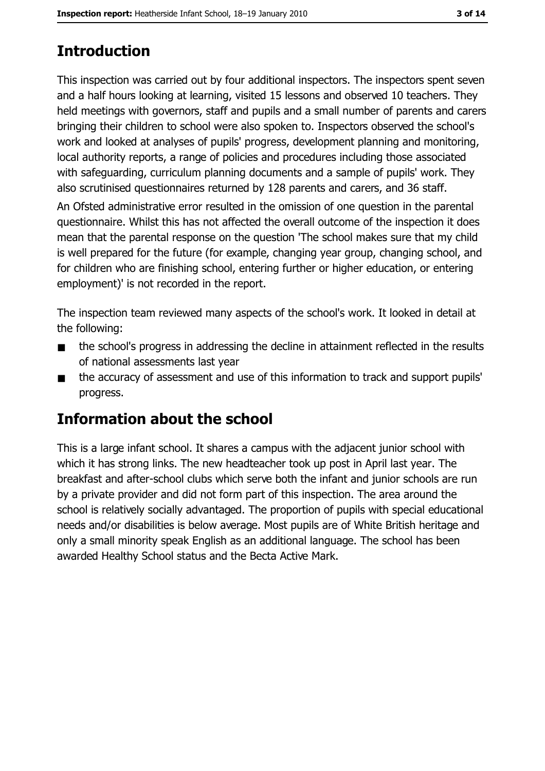## **Introduction**

This inspection was carried out by four additional inspectors. The inspectors spent seven and a half hours looking at learning, visited 15 lessons and observed 10 teachers. They held meetings with governors, staff and pupils and a small number of parents and carers bringing their children to school were also spoken to. Inspectors observed the school's work and looked at analyses of pupils' progress, development planning and monitoring, local authority reports, a range of policies and procedures including those associated with safeguarding, curriculum planning documents and a sample of pupils' work. They also scrutinised questionnaires returned by 128 parents and carers, and 36 staff.

An Ofsted administrative error resulted in the omission of one question in the parental questionnaire. Whilst this has not affected the overall outcome of the inspection it does mean that the parental response on the question 'The school makes sure that my child is well prepared for the future (for example, changing year group, changing school, and for children who are finishing school, entering further or higher education, or entering employment)' is not recorded in the report.

The inspection team reviewed many aspects of the school's work. It looked in detail at the following:

- the school's progress in addressing the decline in attainment reflected in the results  $\blacksquare$ of national assessments last year
- the accuracy of assessment and use of this information to track and support pupils'  $\blacksquare$ progress.

## Information about the school

This is a large infant school. It shares a campus with the adjacent junior school with which it has strong links. The new headteacher took up post in April last year. The breakfast and after-school clubs which serve both the infant and junior schools are run by a private provider and did not form part of this inspection. The area around the school is relatively socially advantaged. The proportion of pupils with special educational needs and/or disabilities is below average. Most pupils are of White British heritage and only a small minority speak English as an additional language. The school has been awarded Healthy School status and the Becta Active Mark.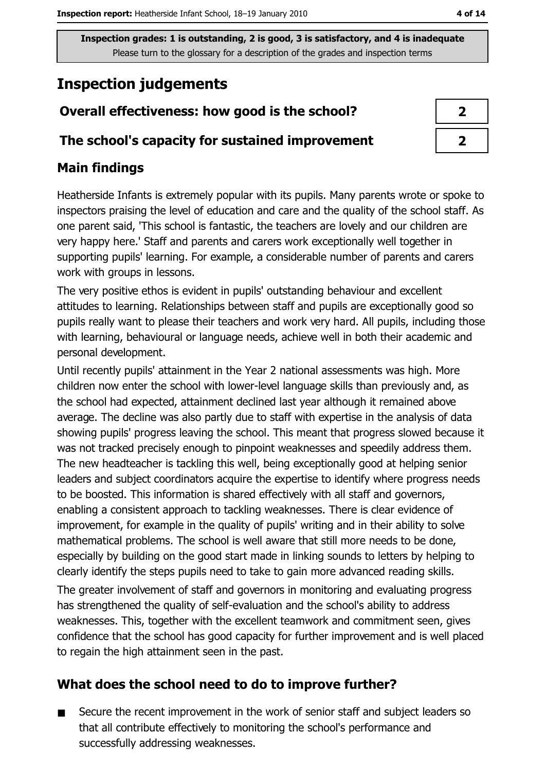Inspection grades: 1 is outstanding, 2 is good, 3 is satisfactory, and 4 is inadequate Please turn to the glossary for a description of the grades and inspection terms

## **Inspection judgements**

### Overall effectiveness: how good is the school?

#### The school's capacity for sustained improvement

#### **Main findings**

Heatherside Infants is extremely popular with its pupils. Many parents wrote or spoke to inspectors praising the level of education and care and the quality of the school staff. As one parent said, 'This school is fantastic, the teachers are lovely and our children are very happy here.' Staff and parents and carers work exceptionally well together in supporting pupils' learning. For example, a considerable number of parents and carers work with groups in lessons.

The very positive ethos is evident in pupils' outstanding behaviour and excellent attitudes to learning. Relationships between staff and pupils are exceptionally good so pupils really want to please their teachers and work very hard. All pupils, including those with learning, behavioural or language needs, achieve well in both their academic and personal development.

Until recently pupils' attainment in the Year 2 national assessments was high. More children now enter the school with lower-level language skills than previously and, as the school had expected, attainment declined last year although it remained above average. The decline was also partly due to staff with expertise in the analysis of data showing pupils' progress leaving the school. This meant that progress slowed because it was not tracked precisely enough to pinpoint weaknesses and speedily address them. The new headteacher is tackling this well, being exceptionally good at helping senior leaders and subject coordinators acquire the expertise to identify where progress needs to be boosted. This information is shared effectively with all staff and governors, enabling a consistent approach to tackling weaknesses. There is clear evidence of improvement, for example in the quality of pupils' writing and in their ability to solve mathematical problems. The school is well aware that still more needs to be done, especially by building on the good start made in linking sounds to letters by helping to clearly identify the steps pupils need to take to gain more advanced reading skills.

The greater involvement of staff and governors in monitoring and evaluating progress has strengthened the quality of self-evaluation and the school's ability to address weaknesses. This, together with the excellent teamwork and commitment seen, gives confidence that the school has good capacity for further improvement and is well placed to regain the high attainment seen in the past.

#### What does the school need to do to improve further?

Secure the recent improvement in the work of senior staff and subject leaders so  $\blacksquare$ that all contribute effectively to monitoring the school's performance and successfully addressing weaknesses.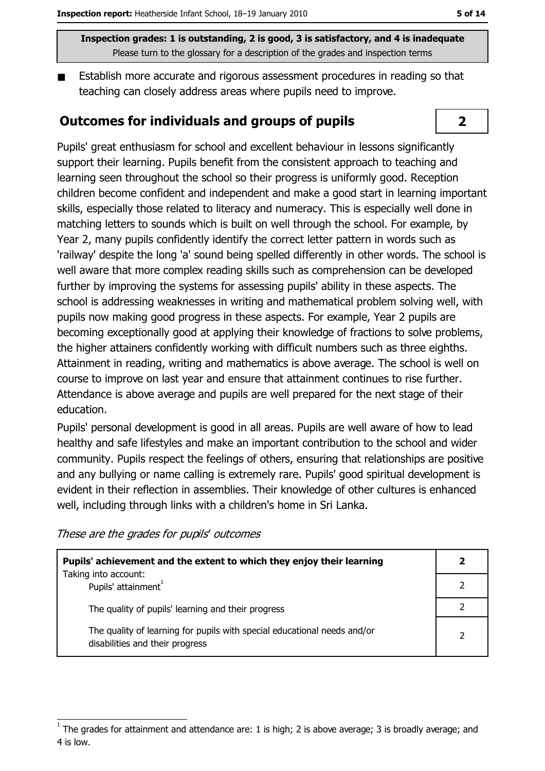Inspection grades: 1 is outstanding, 2 is good, 3 is satisfactory, and 4 is inadequate Please turn to the glossary for a description of the grades and inspection terms

Establish more accurate and rigorous assessment procedures in reading so that  $\blacksquare$ teaching can closely address areas where pupils need to improve.

#### **Outcomes for individuals and groups of pupils**

Pupils' great enthusiasm for school and excellent behaviour in lessons significantly support their learning. Pupils benefit from the consistent approach to teaching and learning seen throughout the school so their progress is uniformly good. Reception children become confident and independent and make a good start in learning important skills, especially those related to literacy and numeracy. This is especially well done in matching letters to sounds which is built on well through the school. For example, by Year 2, many pupils confidently identify the correct letter pattern in words such as 'railway' despite the long 'a' sound being spelled differently in other words. The school is well aware that more complex reading skills such as comprehension can be developed further by improving the systems for assessing pupils' ability in these aspects. The school is addressing weaknesses in writing and mathematical problem solving well, with pupils now making good progress in these aspects. For example, Year 2 pupils are becoming exceptionally good at applying their knowledge of fractions to solve problems, the higher attainers confidently working with difficult numbers such as three eighths. Attainment in reading, writing and mathematics is above average. The school is well on course to improve on last year and ensure that attainment continues to rise further. Attendance is above average and pupils are well prepared for the next stage of their education.

Pupils' personal development is good in all areas. Pupils are well aware of how to lead healthy and safe lifestyles and make an important contribution to the school and wider community. Pupils respect the feelings of others, ensuring that relationships are positive and any bullying or name calling is extremely rare. Pupils' good spiritual development is evident in their reflection in assemblies. Their knowledge of other cultures is enhanced well, including through links with a children's home in Sri Lanka.

These are the grades for pupils' outcomes

| Pupils' achievement and the extent to which they enjoy their learning                                       |  |
|-------------------------------------------------------------------------------------------------------------|--|
| Taking into account:<br>Pupils' attainment <sup>1</sup>                                                     |  |
| The quality of pupils' learning and their progress                                                          |  |
| The quality of learning for pupils with special educational needs and/or<br>disabilities and their progress |  |

### $\overline{2}$

The grades for attainment and attendance are: 1 is high; 2 is above average; 3 is broadly average; and 4 is low.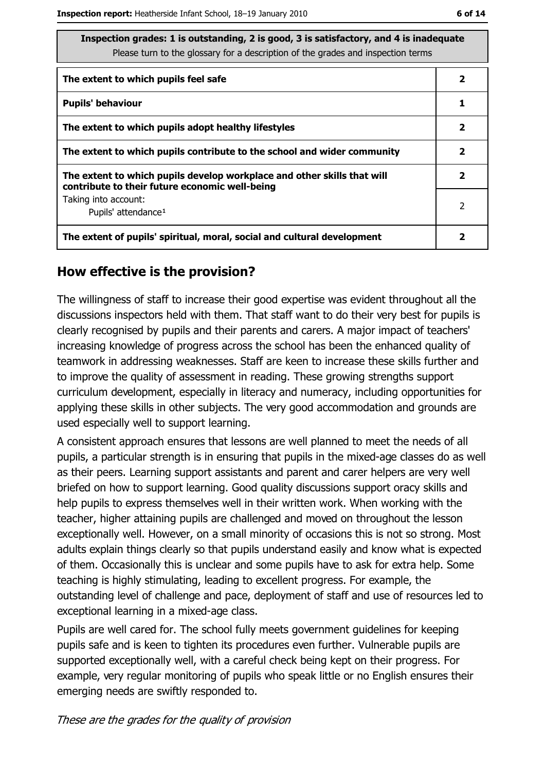| Inspection grades: 1 is outstanding, 2 is good, 3 is satisfactory, and 4 is inadequate<br>Please turn to the glossary for a description of the grades and inspection terms |              |
|----------------------------------------------------------------------------------------------------------------------------------------------------------------------------|--------------|
| The extent to which pupils feel safe                                                                                                                                       | 2            |
| <b>Pupils' behaviour</b>                                                                                                                                                   | 1            |
| The extent to which pupils adopt healthy lifestyles                                                                                                                        | $\mathbf{2}$ |
| The extent to which pupils contribute to the school and wider community                                                                                                    | $\mathbf{2}$ |
| The extent to which pupils develop workplace and other skills that will<br>contribute to their future economic well-being                                                  | 2            |
| Taking into account:<br>Pupils' attendance <sup>1</sup>                                                                                                                    | 2            |
| The extent of pupils' spiritual, moral, social and cultural development                                                                                                    |              |

#### How effective is the provision?

The willingness of staff to increase their good expertise was evident throughout all the discussions inspectors held with them. That staff want to do their very best for pupils is clearly recognised by pupils and their parents and carers. A major impact of teachers' increasing knowledge of progress across the school has been the enhanced quality of teamwork in addressing weaknesses. Staff are keen to increase these skills further and to improve the quality of assessment in reading. These growing strengths support curriculum development, especially in literacy and numeracy, including opportunities for applying these skills in other subjects. The very good accommodation and grounds are used especially well to support learning.

A consistent approach ensures that lessons are well planned to meet the needs of all pupils, a particular strength is in ensuring that pupils in the mixed-age classes do as well as their peers. Learning support assistants and parent and carer helpers are very well briefed on how to support learning. Good quality discussions support oracy skills and help pupils to express themselves well in their written work. When working with the teacher, higher attaining pupils are challenged and moved on throughout the lesson exceptionally well. However, on a small minority of occasions this is not so strong. Most adults explain things clearly so that pupils understand easily and know what is expected of them. Occasionally this is unclear and some pupils have to ask for extra help. Some teaching is highly stimulating, leading to excellent progress. For example, the outstanding level of challenge and pace, deployment of staff and use of resources led to exceptional learning in a mixed-age class.

Pupils are well cared for. The school fully meets government guidelines for keeping pupils safe and is keen to tighten its procedures even further. Vulnerable pupils are supported exceptionally well, with a careful check being kept on their progress. For example, very regular monitoring of pupils who speak little or no English ensures their emerging needs are swiftly responded to.

These are the grades for the quality of provision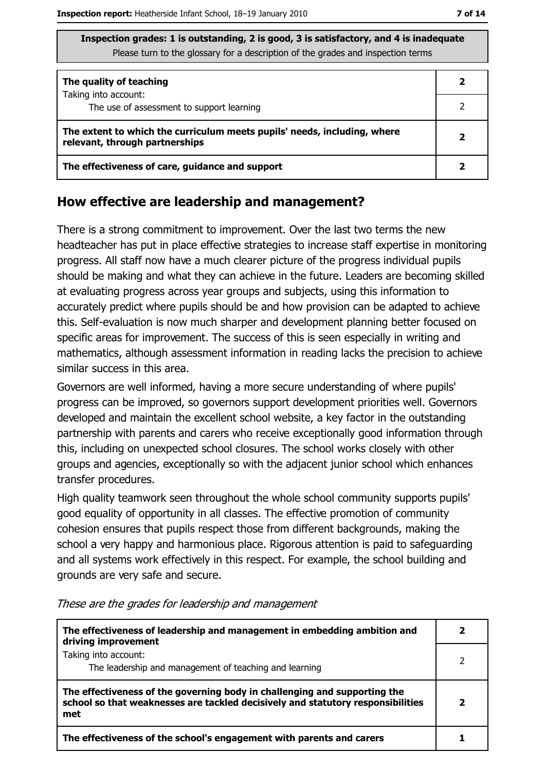| Inspection grades: 1 is outstanding, 2 is good, 3 is satisfactory, and 4 is inadequate |
|----------------------------------------------------------------------------------------|
| Please turn to the glossary for a description of the grades and inspection terms       |

| The quality of teaching                                                                                    |  |  |  |
|------------------------------------------------------------------------------------------------------------|--|--|--|
| Taking into account:<br>The use of assessment to support learning                                          |  |  |  |
| The extent to which the curriculum meets pupils' needs, including, where<br>relevant, through partnerships |  |  |  |
| The effectiveness of care, guidance and support                                                            |  |  |  |

#### How effective are leadership and management?

There is a strong commitment to improvement. Over the last two terms the new headteacher has put in place effective strategies to increase staff expertise in monitoring progress. All staff now have a much clearer picture of the progress individual pupils should be making and what they can achieve in the future. Leaders are becoming skilled at evaluating progress across year groups and subjects, using this information to accurately predict where pupils should be and how provision can be adapted to achieve this. Self-evaluation is now much sharper and development planning better focused on specific areas for improvement. The success of this is seen especially in writing and mathematics, although assessment information in reading lacks the precision to achieve similar success in this area.

Governors are well informed, having a more secure understanding of where pupils' progress can be improved, so governors support development priorities well. Governors developed and maintain the excellent school website, a key factor in the outstanding partnership with parents and carers who receive exceptionally good information through this, including on unexpected school closures. The school works closely with other groups and agencies, exceptionally so with the adjacent junior school which enhances transfer procedures.

High quality teamwork seen throughout the whole school community supports pupils' good equality of opportunity in all classes. The effective promotion of community cohesion ensures that pupils respect those from different backgrounds, making the school a very happy and harmonious place. Rigorous attention is paid to safeguarding and all systems work effectively in this respect. For example, the school building and grounds are very safe and secure.

| The effectiveness of leadership and management in embedding ambition and<br>driving improvement                                                                     |  |
|---------------------------------------------------------------------------------------------------------------------------------------------------------------------|--|
| Taking into account:<br>The leadership and management of teaching and learning                                                                                      |  |
| The effectiveness of the governing body in challenging and supporting the<br>school so that weaknesses are tackled decisively and statutory responsibilities<br>met |  |
| The effectiveness of the school's engagement with parents and carers                                                                                                |  |

#### These are the grades for leadership and management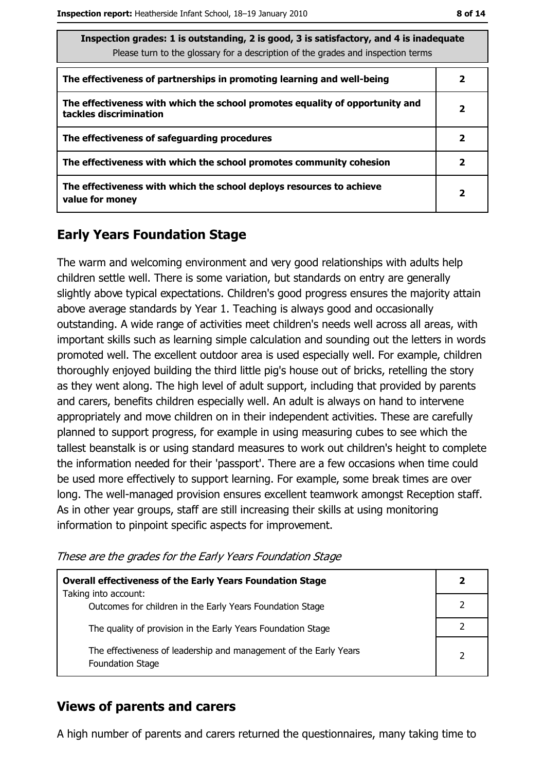| Inspection grades: 1 is outstanding, 2 is good, 3 is satisfactory, and 4 is inadequate<br>Please turn to the glossary for a description of the grades and inspection terms |                         |  |
|----------------------------------------------------------------------------------------------------------------------------------------------------------------------------|-------------------------|--|
| The effectiveness of partnerships in promoting learning and well-being                                                                                                     | 2                       |  |
| The effectiveness with which the school promotes equality of opportunity and<br>tackles discrimination                                                                     | $\overline{\mathbf{2}}$ |  |
| The effectiveness of safeguarding procedures                                                                                                                               | $\overline{2}$          |  |
| The effectiveness with which the school promotes community cohesion                                                                                                        | 2                       |  |
| The effectiveness with which the school deploys resources to achieve<br>value for money                                                                                    | $\overline{\mathbf{2}}$ |  |

#### **Early Years Foundation Stage**

The warm and welcoming environment and very good relationships with adults help children settle well. There is some variation, but standards on entry are generally slightly above typical expectations. Children's good progress ensures the majority attain above average standards by Year 1. Teaching is always good and occasionally outstanding. A wide range of activities meet children's needs well across all areas, with important skills such as learning simple calculation and sounding out the letters in words promoted well. The excellent outdoor area is used especially well. For example, children thoroughly enjoyed building the third little pig's house out of bricks, retelling the story as they went along. The high level of adult support, including that provided by parents and carers, benefits children especially well. An adult is always on hand to intervene appropriately and move children on in their independent activities. These are carefully planned to support progress, for example in using measuring cubes to see which the tallest beanstalk is or using standard measures to work out children's height to complete the information needed for their 'passport'. There are a few occasions when time could be used more effectively to support learning. For example, some break times are over long. The well-managed provision ensures excellent teamwork amongst Reception staff. As in other year groups, staff are still increasing their skills at using monitoring information to pinpoint specific aspects for improvement.

These are the grades for the Early Years Foundation Stage

| <b>Overall effectiveness of the Early Years Foundation Stage</b><br>Taking into account:     | 2             |
|----------------------------------------------------------------------------------------------|---------------|
| Outcomes for children in the Early Years Foundation Stage                                    |               |
| The quality of provision in the Early Years Foundation Stage                                 |               |
| The effectiveness of leadership and management of the Early Years<br><b>Foundation Stage</b> | $\mathcal{P}$ |

#### **Views of parents and carers**

A high number of parents and carers returned the questionnaires, many taking time to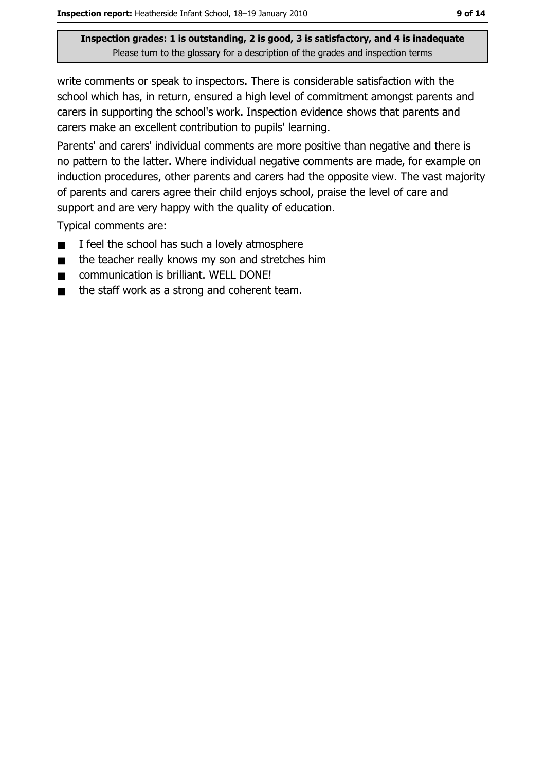Inspection grades: 1 is outstanding, 2 is good, 3 is satisfactory, and 4 is inadequate Please turn to the glossary for a description of the grades and inspection terms

write comments or speak to inspectors. There is considerable satisfaction with the school which has, in return, ensured a high level of commitment amongst parents and carers in supporting the school's work. Inspection evidence shows that parents and carers make an excellent contribution to pupils' learning.

Parents' and carers' individual comments are more positive than negative and there is no pattern to the latter. Where individual negative comments are made, for example on induction procedures, other parents and carers had the opposite view. The vast majority of parents and carers agree their child enjoys school, praise the level of care and support and are very happy with the quality of education.

Typical comments are:

- I feel the school has such a lovely atmosphere  $\blacksquare$
- the teacher really knows my son and stretches him  $\blacksquare$
- communication is brilliant. WELL DONE!  $\blacksquare$
- the staff work as a strong and coherent team.  $\blacksquare$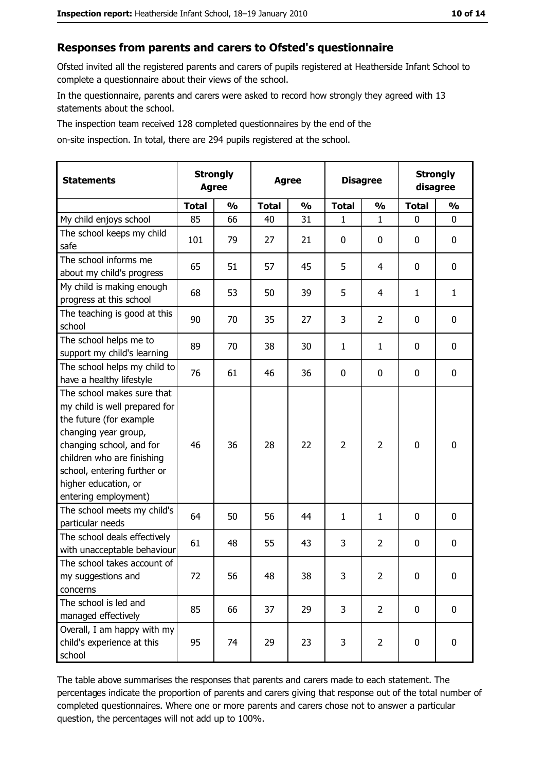#### Responses from parents and carers to Ofsted's questionnaire

Ofsted invited all the registered parents and carers of pupils registered at Heatherside Infant School to complete a questionnaire about their views of the school.

In the questionnaire, parents and carers were asked to record how strongly they agreed with 13 statements about the school.

The inspection team received 128 completed questionnaires by the end of the

on-site inspection. In total, there are 294 pupils registered at the school.

| <b>Statements</b>                                                                                                                                                                                                                                       | <b>Strongly</b><br><b>Agree</b> |               | <b>Agree</b> |               |                | <b>Disagree</b> |              | <b>Strongly</b><br>disagree |
|---------------------------------------------------------------------------------------------------------------------------------------------------------------------------------------------------------------------------------------------------------|---------------------------------|---------------|--------------|---------------|----------------|-----------------|--------------|-----------------------------|
|                                                                                                                                                                                                                                                         | <b>Total</b>                    | $\frac{0}{0}$ | <b>Total</b> | $\frac{0}{0}$ | <b>Total</b>   | $\frac{0}{0}$   | <b>Total</b> | $\frac{0}{0}$               |
| My child enjoys school                                                                                                                                                                                                                                  | 85                              | 66            | 40           | 31            | 1              | 1               | 0            | $\mathbf 0$                 |
| The school keeps my child<br>safe                                                                                                                                                                                                                       | 101                             | 79            | 27           | 21            | 0              | 0               | 0            | 0                           |
| The school informs me<br>about my child's progress                                                                                                                                                                                                      | 65                              | 51            | 57           | 45            | 5              | 4               | 0            | $\mathbf 0$                 |
| My child is making enough<br>progress at this school                                                                                                                                                                                                    | 68                              | 53            | 50           | 39            | 5              | 4               | 1            | $\mathbf{1}$                |
| The teaching is good at this<br>school                                                                                                                                                                                                                  | 90                              | 70            | 35           | 27            | 3              | $\overline{2}$  | 0            | $\mathbf 0$                 |
| The school helps me to<br>support my child's learning                                                                                                                                                                                                   | 89                              | 70            | 38           | 30            | 1              | $\mathbf 1$     | 0            | $\mathbf 0$                 |
| The school helps my child to<br>have a healthy lifestyle                                                                                                                                                                                                | 76                              | 61            | 46           | 36            | 0              | 0               | 0            | 0                           |
| The school makes sure that<br>my child is well prepared for<br>the future (for example<br>changing year group,<br>changing school, and for<br>children who are finishing<br>school, entering further or<br>higher education, or<br>entering employment) | 46                              | 36            | 28           | 22            | $\overline{2}$ | $\overline{2}$  | 0            | $\mathbf 0$                 |
| The school meets my child's<br>particular needs                                                                                                                                                                                                         | 64                              | 50            | 56           | 44            | $\mathbf{1}$   | 1               | 0            | $\mathbf 0$                 |
| The school deals effectively<br>with unacceptable behaviour                                                                                                                                                                                             | 61                              | 48            | 55           | 43            | 3              | $\overline{2}$  | 0            | 0                           |
| The school takes account of<br>my suggestions and<br>concerns                                                                                                                                                                                           | 72                              | 56            | 48           | 38            | 3              | $\overline{2}$  | 0            | 0                           |
| The school is led and<br>managed effectively                                                                                                                                                                                                            | 85                              | 66            | 37           | 29            | 3              | $\overline{2}$  | $\mathbf 0$  | $\mathbf 0$                 |
| Overall, I am happy with my<br>child's experience at this<br>school                                                                                                                                                                                     | 95                              | 74            | 29           | 23            | 3              | $\overline{2}$  | 0            | $\mathbf 0$                 |

The table above summarises the responses that parents and carers made to each statement. The percentages indicate the proportion of parents and carers giving that response out of the total number of completed questionnaires. Where one or more parents and carers chose not to answer a particular question, the percentages will not add up to 100%.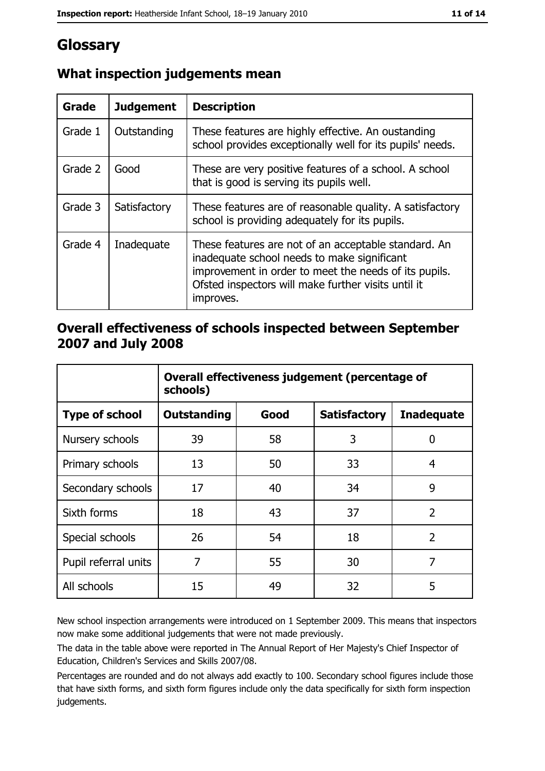## Glossary

| Grade   | <b>Judgement</b> | <b>Description</b>                                                                                                                                                                                                               |
|---------|------------------|----------------------------------------------------------------------------------------------------------------------------------------------------------------------------------------------------------------------------------|
| Grade 1 | Outstanding      | These features are highly effective. An oustanding<br>school provides exceptionally well for its pupils' needs.                                                                                                                  |
| Grade 2 | Good             | These are very positive features of a school. A school<br>that is good is serving its pupils well.                                                                                                                               |
| Grade 3 | Satisfactory     | These features are of reasonable quality. A satisfactory<br>school is providing adequately for its pupils.                                                                                                                       |
| Grade 4 | Inadequate       | These features are not of an acceptable standard. An<br>inadequate school needs to make significant<br>improvement in order to meet the needs of its pupils.<br>Ofsted inspectors will make further visits until it<br>improves. |

#### What inspection judgements mean

#### Overall effectiveness of schools inspected between September 2007 and July 2008

|                       | Overall effectiveness judgement (percentage of<br>schools) |      |                     |                   |
|-----------------------|------------------------------------------------------------|------|---------------------|-------------------|
| <b>Type of school</b> | <b>Outstanding</b>                                         | Good | <b>Satisfactory</b> | <b>Inadequate</b> |
| Nursery schools       | 39                                                         | 58   | 3                   | 0                 |
| Primary schools       | 13                                                         | 50   | 33                  | 4                 |
| Secondary schools     | 17                                                         | 40   | 34                  | 9                 |
| Sixth forms           | 18                                                         | 43   | 37                  | $\overline{2}$    |
| Special schools       | 26                                                         | 54   | 18                  | $\overline{2}$    |
| Pupil referral units  | 7                                                          | 55   | 30                  | 7                 |
| All schools           | 15                                                         | 49   | 32                  | 5                 |

New school inspection arrangements were introduced on 1 September 2009. This means that inspectors now make some additional judgements that were not made previously.

The data in the table above were reported in The Annual Report of Her Majesty's Chief Inspector of Education, Children's Services and Skills 2007/08.

Percentages are rounded and do not always add exactly to 100. Secondary school figures include those that have sixth forms, and sixth form figures include only the data specifically for sixth form inspection judgements.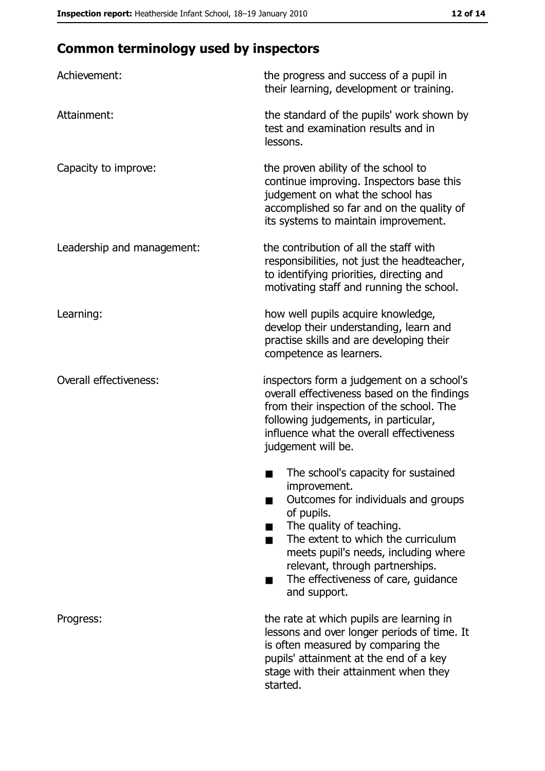## **Common terminology used by inspectors**

| Achievement:                  | the progress and success of a pupil in<br>their learning, development or training.                                                                                                                                                                                                                           |  |
|-------------------------------|--------------------------------------------------------------------------------------------------------------------------------------------------------------------------------------------------------------------------------------------------------------------------------------------------------------|--|
| Attainment:                   | the standard of the pupils' work shown by<br>test and examination results and in<br>lessons.                                                                                                                                                                                                                 |  |
| Capacity to improve:          | the proven ability of the school to<br>continue improving. Inspectors base this<br>judgement on what the school has<br>accomplished so far and on the quality of<br>its systems to maintain improvement.                                                                                                     |  |
| Leadership and management:    | the contribution of all the staff with<br>responsibilities, not just the headteacher,<br>to identifying priorities, directing and<br>motivating staff and running the school.                                                                                                                                |  |
| Learning:                     | how well pupils acquire knowledge,<br>develop their understanding, learn and<br>practise skills and are developing their<br>competence as learners.                                                                                                                                                          |  |
| <b>Overall effectiveness:</b> | inspectors form a judgement on a school's<br>overall effectiveness based on the findings<br>from their inspection of the school. The<br>following judgements, in particular,<br>influence what the overall effectiveness<br>judgement will be.                                                               |  |
|                               | The school's capacity for sustained<br>improvement.<br>Outcomes for individuals and groups<br>of pupils.<br>The quality of teaching.<br>The extent to which the curriculum<br>meets pupil's needs, including where<br>relevant, through partnerships.<br>The effectiveness of care, guidance<br>and support. |  |
| Progress:                     | the rate at which pupils are learning in<br>lessons and over longer periods of time. It<br>is often measured by comparing the<br>pupils' attainment at the end of a key<br>stage with their attainment when they<br>started.                                                                                 |  |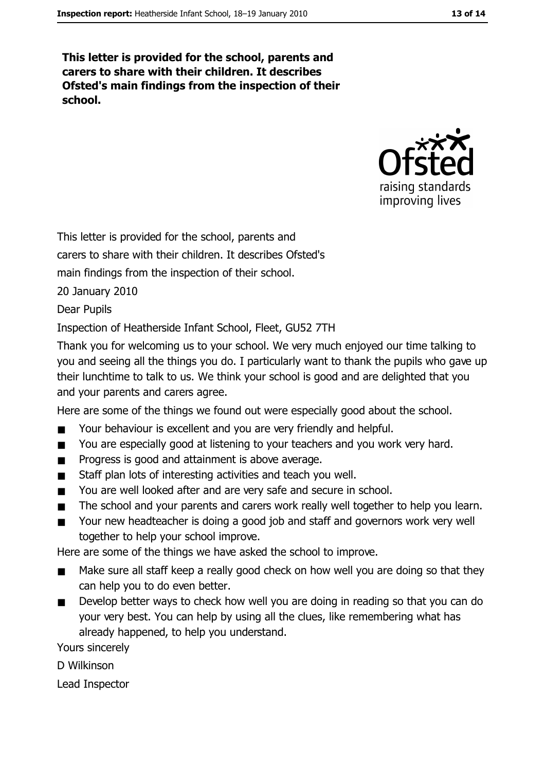This letter is provided for the school, parents and carers to share with their children. It describes Ofsted's main findings from the inspection of their school.



This letter is provided for the school, parents and

carers to share with their children. It describes Ofsted's

main findings from the inspection of their school.

20 January 2010

**Dear Pupils** 

Inspection of Heatherside Infant School, Fleet, GU52 7TH

Thank you for welcoming us to your school. We very much enjoved our time talking to you and seeing all the things you do. I particularly want to thank the pupils who gave up their lunchtime to talk to us. We think your school is good and are delighted that you and your parents and carers agree.

Here are some of the things we found out were especially good about the school.

- Your behaviour is excellent and you are very friendly and helpful.  $\blacksquare$
- You are especially good at listening to your teachers and you work very hard.  $\blacksquare$
- Progress is good and attainment is above average.  $\blacksquare$
- Staff plan lots of interesting activities and teach you well.  $\blacksquare$
- You are well looked after and are very safe and secure in school.  $\blacksquare$
- The school and your parents and carers work really well together to help you learn.  $\blacksquare$
- Your new headteacher is doing a good job and staff and governors work very well  $\blacksquare$ together to help your school improve.

Here are some of the things we have asked the school to improve.

- Make sure all staff keep a really good check on how well you are doing so that they  $\blacksquare$ can help you to do even better.
- Develop better ways to check how well you are doing in reading so that you can do  $\blacksquare$ your very best. You can help by using all the clues, like remembering what has already happened, to help you understand.

Yours sincerely

D Wilkinson

Lead Inspector